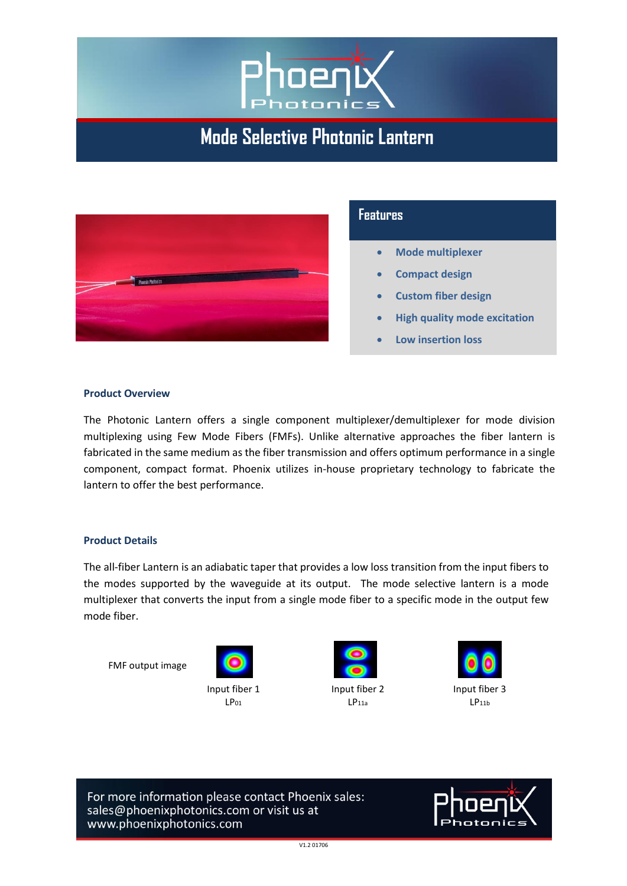

# **Mode Selective Photonic Lantern**



## **Features**

- **Mode multiplexer**
- **Compact design**
- **Custom fiber design**
- **High quality mode excitation**
- **Low insertion loss**

#### **Product Overview**

The Photonic Lantern offers a single component multiplexer/demultiplexer for mode division multiplexing using Few Mode Fibers (FMFs). Unlike alternative approaches the fiber lantern is fabricated in the same medium as the fiber transmission and offers optimum performance in a single component, compact format. Phoenix utilizes in-house proprietary technology to fabricate the lantern to offer the best performance.

#### **Product Details**

The all-fiber Lantern is an adiabatic taper that provides a low loss transition from the input fibers to the modes supported by the waveguide at its output. The mode selective lantern is a mode multiplexer that converts the input from a single mode fiber to a specific mode in the output few mode fiber.

FMF output image





 $LP<sub>11a</sub>$ 



Input fiber 3  $LP<sub>11b</sub>$ 

For more information please contact Phoenix sales: sales@phoenixphotonics.com or visit us at www.phoenixphotonics.com